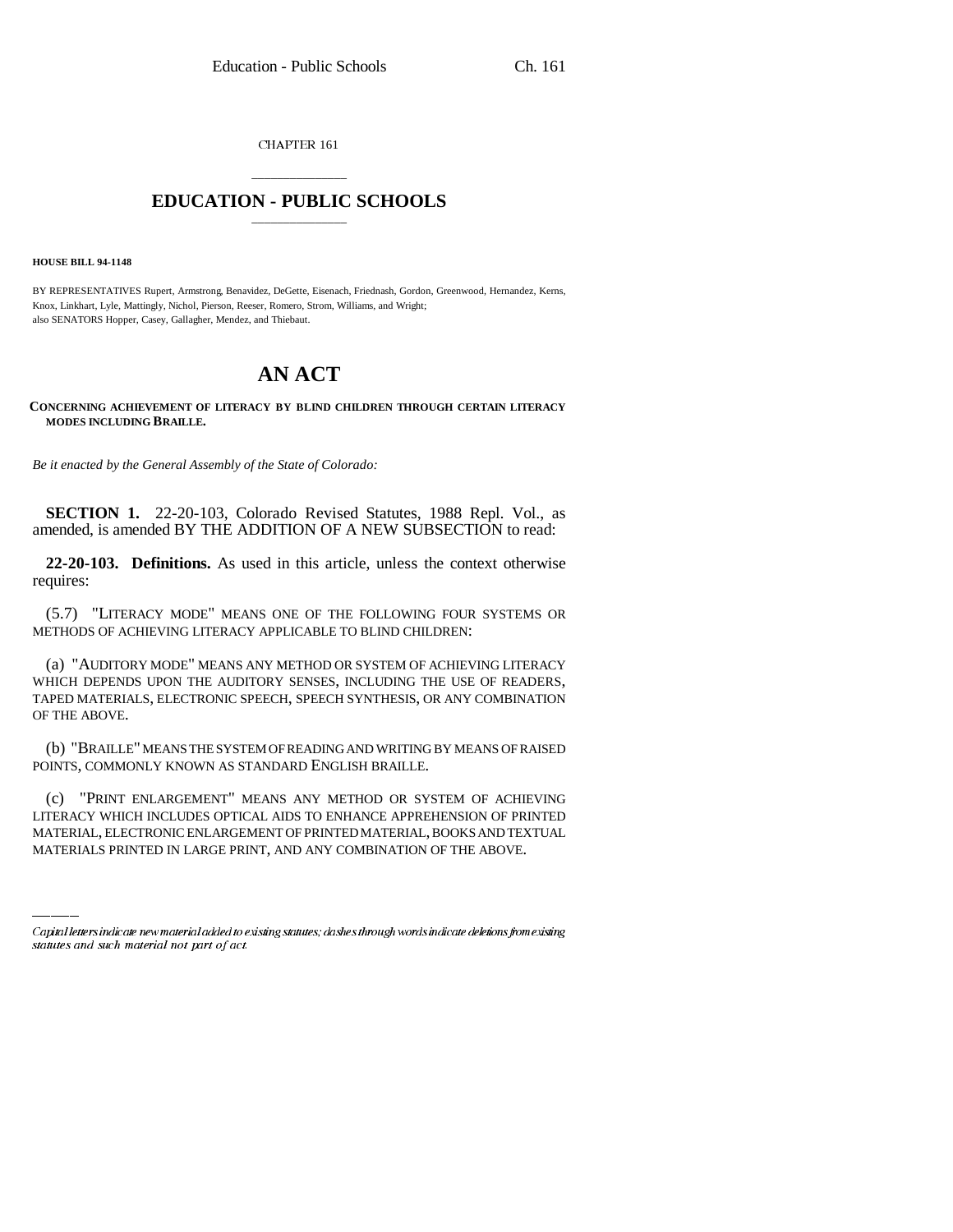CHAPTER 161

# \_\_\_\_\_\_\_\_\_\_\_\_\_\_\_ **EDUCATION - PUBLIC SCHOOLS** \_\_\_\_\_\_\_\_\_\_\_\_\_\_\_

#### **HOUSE BILL 94-1148**

BY REPRESENTATIVES Rupert, Armstrong, Benavidez, DeGette, Eisenach, Friednash, Gordon, Greenwood, Hernandez, Kerns, Knox, Linkhart, Lyle, Mattingly, Nichol, Pierson, Reeser, Romero, Strom, Williams, and Wright; also SENATORS Hopper, Casey, Gallagher, Mendez, and Thiebaut.

# **AN ACT**

### **CONCERNING ACHIEVEMENT OF LITERACY BY BLIND CHILDREN THROUGH CERTAIN LITERACY MODES INCLUDING BRAILLE.**

*Be it enacted by the General Assembly of the State of Colorado:*

**SECTION 1.** 22-20-103, Colorado Revised Statutes, 1988 Repl. Vol., as amended, is amended BY THE ADDITION OF A NEW SUBSECTION to read:

**22-20-103. Definitions.** As used in this article, unless the context otherwise requires:

(5.7) "LITERACY MODE" MEANS ONE OF THE FOLLOWING FOUR SYSTEMS OR METHODS OF ACHIEVING LITERACY APPLICABLE TO BLIND CHILDREN:

(a) "AUDITORY MODE" MEANS ANY METHOD OR SYSTEM OF ACHIEVING LITERACY WHICH DEPENDS UPON THE AUDITORY SENSES, INCLUDING THE USE OF READERS, TAPED MATERIALS, ELECTRONIC SPEECH, SPEECH SYNTHESIS, OR ANY COMBINATION OF THE ABOVE.

(b) "BRAILLE" MEANS THE SYSTEM OF READING AND WRITING BY MEANS OF RAISED POINTS, COMMONLY KNOWN AS STANDARD ENGLISH BRAILLE.

(c) "PRINT ENLARGEMENT" MEANS ANY METHOD OR SYSTEM OF ACHIEVING LITERACY WHICH INCLUDES OPTICAL AIDS TO ENHANCE APPREHENSION OF PRINTED MATERIAL, ELECTRONIC ENLARGEMENT OF PRINTED MATERIAL, BOOKS AND TEXTUAL MATERIALS PRINTED IN LARGE PRINT, AND ANY COMBINATION OF THE ABOVE.

Capital letters indicate new material added to existing statutes; dashes through words indicate deletions from existing statutes and such material not part of act.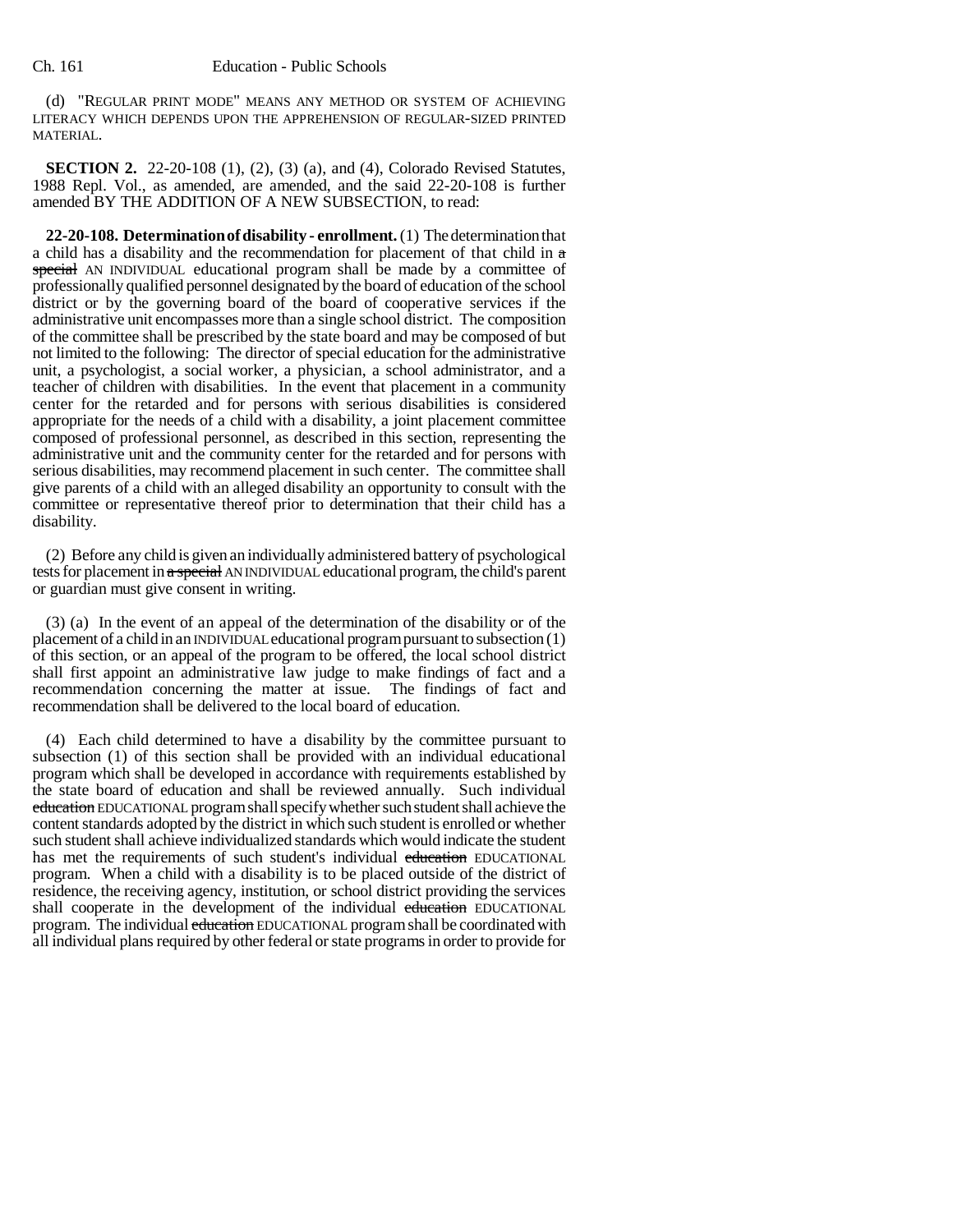(d) "REGULAR PRINT MODE" MEANS ANY METHOD OR SYSTEM OF ACHIEVING LITERACY WHICH DEPENDS UPON THE APPREHENSION OF REGULAR-SIZED PRINTED MATERIAL.

**SECTION 2.** 22-20-108 (1), (2), (3) (a), and (4), Colorado Revised Statutes, 1988 Repl. Vol., as amended, are amended, and the said 22-20-108 is further amended BY THE ADDITION OF A NEW SUBSECTION, to read:

**22-20-108. Determination of disability - enrollment.** (1) The determination that a child has a disability and the recommendation for placement of that child in  $\alpha$ special AN INDIVIDUAL educational program shall be made by a committee of professionally qualified personnel designated by the board of education of the school district or by the governing board of the board of cooperative services if the administrative unit encompasses more than a single school district. The composition of the committee shall be prescribed by the state board and may be composed of but not limited to the following: The director of special education for the administrative unit, a psychologist, a social worker, a physician, a school administrator, and a teacher of children with disabilities. In the event that placement in a community center for the retarded and for persons with serious disabilities is considered appropriate for the needs of a child with a disability, a joint placement committee composed of professional personnel, as described in this section, representing the administrative unit and the community center for the retarded and for persons with serious disabilities, may recommend placement in such center. The committee shall give parents of a child with an alleged disability an opportunity to consult with the committee or representative thereof prior to determination that their child has a disability.

(2) Before any child is given an individually administered battery of psychological tests for placement in a special AN INDIVIDUAL educational program, the child's parent or guardian must give consent in writing.

(3) (a) In the event of an appeal of the determination of the disability or of the placement of a child in an INDIVIDUAL educational program pursuant to subsection (1) of this section, or an appeal of the program to be offered, the local school district shall first appoint an administrative law judge to make findings of fact and a recommendation concerning the matter at issue. The findings of fact and recommendation shall be delivered to the local board of education.

(4) Each child determined to have a disability by the committee pursuant to subsection (1) of this section shall be provided with an individual educational program which shall be developed in accordance with requirements established by the state board of education and shall be reviewed annually. Such individual education EDUCATIONAL program shall specify whether such student shall achieve the content standards adopted by the district in which such student is enrolled or whether such student shall achieve individualized standards which would indicate the student has met the requirements of such student's individual education EDUCATIONAL program. When a child with a disability is to be placed outside of the district of residence, the receiving agency, institution, or school district providing the services shall cooperate in the development of the individual education EDUCATIONAL program. The individual education EDUCATIONAL program shall be coordinated with all individual plans required by other federal or state programs in order to provide for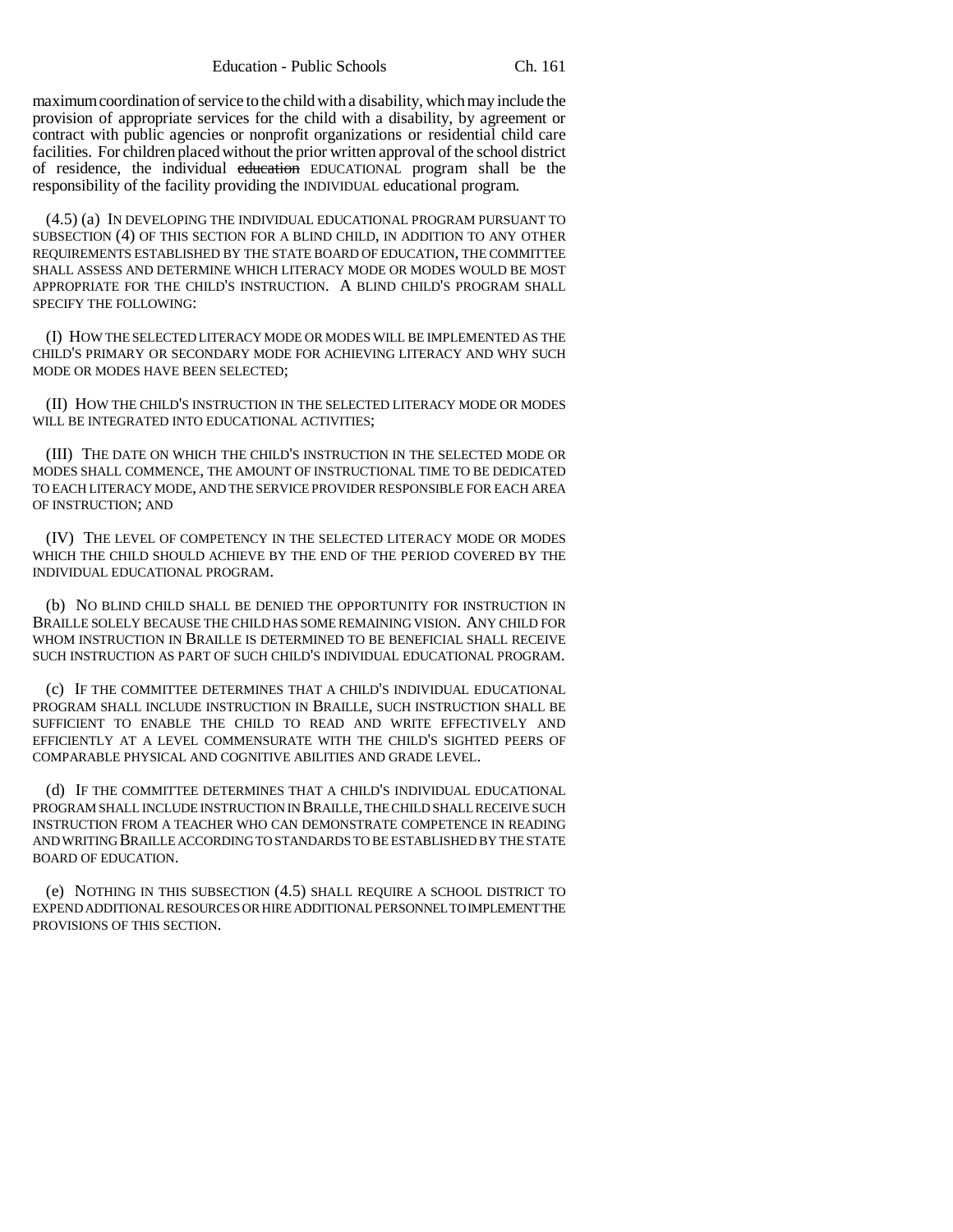maximum coordination of service to the child with a disability, which may include the provision of appropriate services for the child with a disability, by agreement or contract with public agencies or nonprofit organizations or residential child care facilities. For children placed without the prior written approval of the school district of residence, the individual education EDUCATIONAL program shall be the responsibility of the facility providing the INDIVIDUAL educational program.

(4.5) (a) IN DEVELOPING THE INDIVIDUAL EDUCATIONAL PROGRAM PURSUANT TO SUBSECTION (4) OF THIS SECTION FOR A BLIND CHILD, IN ADDITION TO ANY OTHER REQUIREMENTS ESTABLISHED BY THE STATE BOARD OF EDUCATION, THE COMMITTEE SHALL ASSESS AND DETERMINE WHICH LITERACY MODE OR MODES WOULD BE MOST APPROPRIATE FOR THE CHILD'S INSTRUCTION. A BLIND CHILD'S PROGRAM SHALL SPECIFY THE FOLLOWING:

(I) HOW THE SELECTED LITERACY MODE OR MODES WILL BE IMPLEMENTED AS THE CHILD'S PRIMARY OR SECONDARY MODE FOR ACHIEVING LITERACY AND WHY SUCH MODE OR MODES HAVE BEEN SELECTED;

(II) HOW THE CHILD'S INSTRUCTION IN THE SELECTED LITERACY MODE OR MODES WILL BE INTEGRATED INTO EDUCATIONAL ACTIVITIES;

(III) THE DATE ON WHICH THE CHILD'S INSTRUCTION IN THE SELECTED MODE OR MODES SHALL COMMENCE, THE AMOUNT OF INSTRUCTIONAL TIME TO BE DEDICATED TO EACH LITERACY MODE, AND THE SERVICE PROVIDER RESPONSIBLE FOR EACH AREA OF INSTRUCTION; AND

(IV) THE LEVEL OF COMPETENCY IN THE SELECTED LITERACY MODE OR MODES WHICH THE CHILD SHOULD ACHIEVE BY THE END OF THE PERIOD COVERED BY THE INDIVIDUAL EDUCATIONAL PROGRAM.

(b) NO BLIND CHILD SHALL BE DENIED THE OPPORTUNITY FOR INSTRUCTION IN BRAILLE SOLELY BECAUSE THE CHILD HAS SOME REMAINING VISION. ANY CHILD FOR WHOM INSTRUCTION IN BRAILLE IS DETERMINED TO BE BENEFICIAL SHALL RECEIVE SUCH INSTRUCTION AS PART OF SUCH CHILD'S INDIVIDUAL EDUCATIONAL PROGRAM.

(c) IF THE COMMITTEE DETERMINES THAT A CHILD'S INDIVIDUAL EDUCATIONAL PROGRAM SHALL INCLUDE INSTRUCTION IN BRAILLE, SUCH INSTRUCTION SHALL BE SUFFICIENT TO ENABLE THE CHILD TO READ AND WRITE EFFECTIVELY AND EFFICIENTLY AT A LEVEL COMMENSURATE WITH THE CHILD'S SIGHTED PEERS OF COMPARABLE PHYSICAL AND COGNITIVE ABILITIES AND GRADE LEVEL.

(d) IF THE COMMITTEE DETERMINES THAT A CHILD'S INDIVIDUAL EDUCATIONAL PROGRAM SHALL INCLUDE INSTRUCTION IN BRAILLE, THE CHILD SHALL RECEIVE SUCH INSTRUCTION FROM A TEACHER WHO CAN DEMONSTRATE COMPETENCE IN READING AND WRITING BRAILLE ACCORDING TO STANDARDS TO BE ESTABLISHED BY THE STATE BOARD OF EDUCATION.

(e) NOTHING IN THIS SUBSECTION (4.5) SHALL REQUIRE A SCHOOL DISTRICT TO EXPEND ADDITIONAL RESOURCES OR HIRE ADDITIONAL PERSONNEL TO IMPLEMENT THE PROVISIONS OF THIS SECTION.